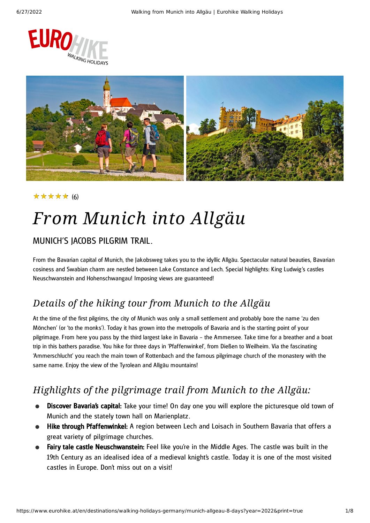



### (6) ★★★★★

## *From Munich into Allgäu*

### MUNICH'S JACOBS PILGRIM TRAIL.

From the Bavarian capital of Munich, the Jakobsweg takes you to the idyllic Allgäu. Spectacular natural beauties, Bavarian cosiness and Swabian charm are nestled between Lake Constance and Lech. Special highlights: King Ludwig 's castles Neuschwanstein and Hohenschwangau! Imposing views are guaranteed!

### *Details of the hiking tour from Munich to the Allgäu*

At the time of the first pilgrims, the city of Munich was only a small settlement and probably bore the name 'zu den Mönchen' (or 'to the monks'). Today it has grown into the metropolis of Bavaria and is the starting point of your pilgrimage. From here you pass by the third largest lake in Bavaria – the Ammersee. Take time for a breather and a boat trip in this bathers paradise. You hike for three days in 'Pfaffenwinkel', from Dießen to Weilheim. Via the fascinating 'Ammerschlucht' you reach the main town of Rottenbach and the famous pilgrimage church of the monastery with the same name. Enjoy the view of the Tyrolean and Allgäu mountains!

### *Highlights of the pilgrimage trail from Munich to the Allgäu:*

- Discover Bavaria's capital: Take your time! On day one you will explore the picturesque old town of Munich and the stately town hall on Marienplatz.
- Hike through Pfaffenwinkel: A region between Lech and Loisach in Southern Bavaria that offers a great variety of pilgrimage churches.
- Fairy tale castle Neuschwanstein: Feel like you're in the Middle Ages. The castle was built in the 19th Century as an idealised idea of a medieval knight's castle. Today it is one of the most visited castles in Europe. Don't miss out on a visit!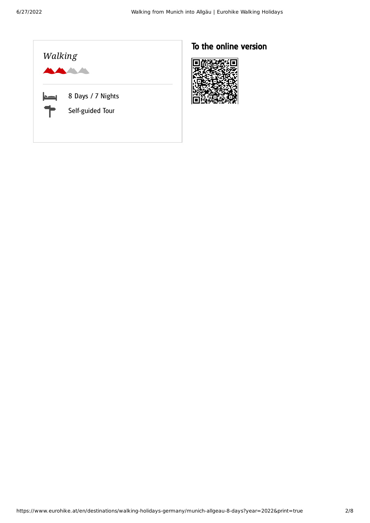

### To the online version

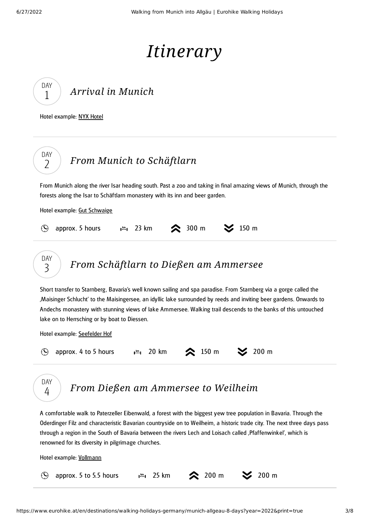## *Itinerary*

| DAY |  |
|-----|--|
| 1   |  |

DAY 2

*Arrival in [Munich](#page-2-0)*

<span id="page-2-0"></span>Hotel example: NYX [Hotel](http://www.nyx-hotels.com/munich)

<span id="page-2-1"></span>From Munich along the river Isar heading south. Past a zoo and taking in final amazing views of Munich, through the forests along the Isar to Schäftlarn monastery with its inn and beer garden.

Hotel example: Gut [Schwaige](https://hotel-gutschwaige.de/en/)

|  | $\odot$ approx. 5 hours |  |  |  |  | $\frac{1}{2}$ 23 km $\otimes$ 300 m $\otimes$ 150 m |  |
|--|-------------------------|--|--|--|--|-----------------------------------------------------|--|
|--|-------------------------|--|--|--|--|-----------------------------------------------------|--|



<span id="page-2-2"></span>Short transfer to Starnberg, Bavaria's well known sailing and spa paradise. From Starnberg via a gorge called the 'Maisinger Schlucht' to the Maisingersee, an idyllic lake surrounded by reeds and inviting beer gardens. Onwards to Andechs monastery with stunning views of lake Ammersee. Walking trail descends to the banks of this untouched lake on to Herrsching or by boat to Diessen.

Hotel example: [Seefelder](https://www.seefelder-hof.de/) Hof

|  | $\bigcirc$ approx. 4 to 5 hours |  |  |  |  | $1^{km}$ , 20 km $\approx$ 150 m $\approx$ 200 m |  |
|--|---------------------------------|--|--|--|--|--------------------------------------------------|--|
|--|---------------------------------|--|--|--|--|--------------------------------------------------|--|



*From Dießen am [Ammersee](#page-2-3) to Weilheim*

<span id="page-2-3"></span>A comfortable walk to Paterzeller Eibenwald, a forest with the biggest yew tree population in Bavaria. Through the Oderdinger Filz and characteristic Bavarian countryside on to Weilheim, a historic trade city. The next three days pass through a region in the South of Bavaria between the rivers Lech and Loisach called , Pfaffenwinkel', which is renowned for its diversity in pilgrimage churches.

Hotel example: [Vollmann](https://www.hotel-vollmann.com/)

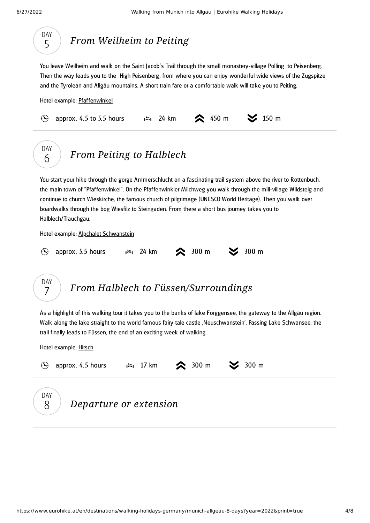<span id="page-3-0"></span>

<span id="page-3-2"></span><span id="page-3-1"></span>As a highlight of this walking tour it takes you to the banks of lake Forggensee, the gateway to the Allgäu region. Walk along the lake straight to the world famous fairy tale castle 'Neuschwanstein'. Passing Lake Schwansee, the trail finally leads to Füssen, the end of an exciting week of walking.

Hotel example: [Hirsch](https://www.hotelfuessen.de/en/)

| $(\blacktriangle)$ | approx. 4.5 hours |                        | $\mathsf{L}^{\text{Im}}$ , 17 km $\approx$ 300 m $\approx$ 300 m |  |
|--------------------|-------------------|------------------------|------------------------------------------------------------------|--|
| DAY<br>-8          |                   | Departure or extension |                                                                  |  |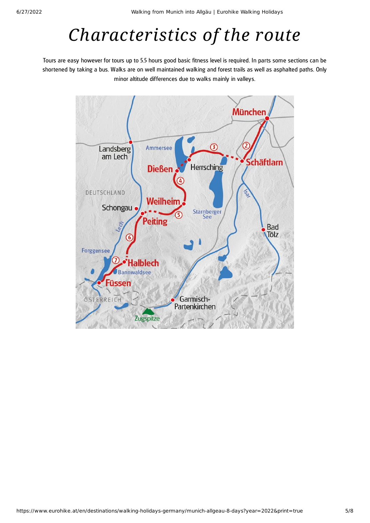## *Characteristics of the route*

Tours are easy however for tours up to 5.5 hours good basic fitness level is required. In parts some sections can be shortened by taking a bus. Walks are on well maintained walking and forest trails as well as asphalted paths. Only minor altitude differences due to walks mainly in valleys.

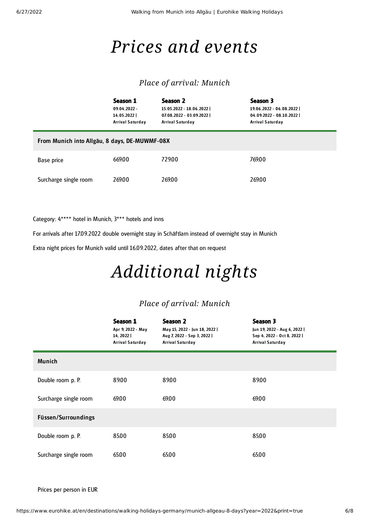### *Prices and events*

### *Place of arrival: Munich*

|                                               | Season 1<br>$09.04.2022 -$<br>14.05.2022<br>Arrival Saturday | Season 2<br>15.05.2022 - 18.06.2022  <br>07.08.2022 - 03.09.2022  <br>Arrival Saturday | Season 3<br>19.06.2022 - 06.08.2022  <br>04.09.2022 - 08.10.2022  <br>Arrival Saturday |  |  |
|-----------------------------------------------|--------------------------------------------------------------|----------------------------------------------------------------------------------------|----------------------------------------------------------------------------------------|--|--|
| From Munich into Allgäu, 8 days, DE-MUWMF-08X |                                                              |                                                                                        |                                                                                        |  |  |
| Base price                                    | 669.00                                                       | 729.00                                                                                 | 769.00                                                                                 |  |  |
| Surcharge single room                         | 269.00                                                       | 269.00                                                                                 | 269.00                                                                                 |  |  |

Category: 4\*\*\*\* hotel in Munich, 3\*\*\* hotels and inns

For arrivals after 17.09.2022 double overnight stay in Schäftlarn instead of overnight stay in Munich

Extra night prices for Munich valid until 16.09.2022, dates after that on request

# *Additional nights*

### *Place of arrival: Munich*

|                       | Season 1<br>Apr 9, 2022 - May<br>14, 2022<br><b>Arrival Saturday</b> | Season 2<br>May 15, 2022 - Jun 18, 2022  <br>Aug 7, 2022 - Sep 3, 2022  <br>Arrival Saturday | Season 3<br>Jun 19, 2022 - Aug 6, 2022  <br>Sep 4, 2022 - Oct 8, 2022  <br>Arrival Saturday |
|-----------------------|----------------------------------------------------------------------|----------------------------------------------------------------------------------------------|---------------------------------------------------------------------------------------------|
| <b>Munich</b>         |                                                                      |                                                                                              |                                                                                             |
| Double room p. P.     | 89.00                                                                | 89.00                                                                                        | 89.00                                                                                       |
| Surcharge single room | 69.00                                                                | 69.00                                                                                        | 69.00                                                                                       |
| Füssen/Surroundings   |                                                                      |                                                                                              |                                                                                             |
| Double room p. P.     | 85.00                                                                | 85.00                                                                                        | 85.00                                                                                       |
| Surcharge single room | 65.00                                                                | 65.00                                                                                        | 65.00                                                                                       |

Prices per person in EUR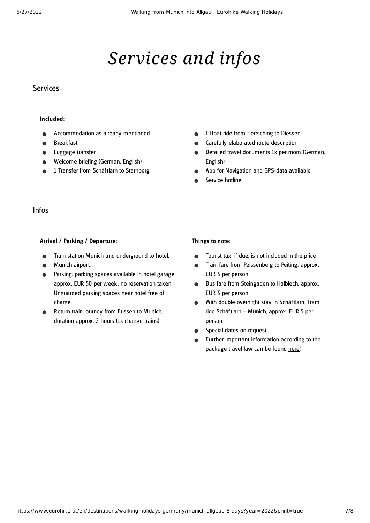# *Services and infos*

#### Services

#### Included:

- Accommodation as already mentioned
- Breakfast
- Luggage transfer
- Welcome briefing (German, English)
- 1 Transfer from Schäftlarn to Starnberg
- 1 Boat ride from Herrsching to Diessen  $\bullet$
- Carefully elaborated route description
- Detailed travel documents 1x per room (German,  $\bullet$ English)
- App for Navigation and GPS-data available  $\bullet$
- Service hotline

#### Infos

#### Arrival / Parking / Departure:

- Train station Munich and underground to hotel.
- Munich airport.
- Parking: parking spaces available in hotel garage  $\bullet$ approx. EUR 50 per week , no reservation taken. Unguarded parking spaces near hotel free of charge.
- Return train journey from Füssen to Munich, duration approx. 2 hours (1x change trains).

#### Things to note:

- Tourist tax, if due, is not included in the price  $\bullet$
- Train fare from Peissenberg to Peiting, approx.  $\bullet$ EUR 5 per person
- Bus fare from Steingaden to Halblech, approx.  $\bullet$ EUR 5 per person
- $\bullet$ With double overnight stay in Schäftlarn: Tram ride Schäftlarn – Munich, approx. EUR 5 per person
- Special dates on request  $\bullet$
- Further important information according to the package travel law can be found [here](https://www.eurohike.at/en/travel-information/before-the-tour/pci)!